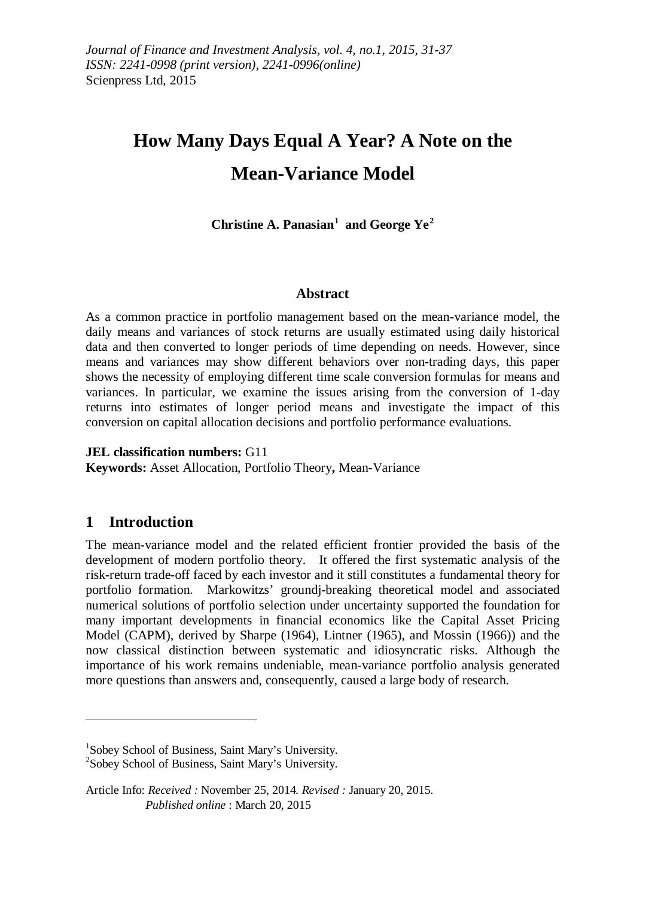# **How Many Days Equal A Year? A Note on the Mean-Variance Model**

**Christine A. Panasian[1](#page-0-0) and George Ye[2](#page-0-1)**

#### **Abstract**

As a common practice in portfolio management based on the mean-variance model, the daily means and variances of stock returns are usually estimated using daily historical data and then converted to longer periods of time depending on needs. However, since means and variances may show different behaviors over non-trading days, this paper shows the necessity of employing different time scale conversion formulas for means and variances. In particular, we examine the issues arising from the conversion of 1-day returns into estimates of longer period means and investigate the impact of this conversion on capital allocation decisions and portfolio performance evaluations.

**JEL classification numbers:** G11 **Keywords:** Asset Allocation, Portfolio Theory**,** Mean-Variance

# **1 Introduction**

 $\overline{a}$ 

The mean-variance model and the related efficient frontier provided the basis of the development of modern portfolio theory. It offered the first systematic analysis of the risk-return trade-off faced by each investor and it still constitutes a fundamental theory for portfolio formation. Markowitzs' groundj-breaking theoretical model and associated numerical solutions of portfolio selection under uncertainty supported the foundation for many important developments in financial economics like the Capital Asset Pricing Model (CAPM), derived by Sharpe (1964), Lintner (1965), and Mossin (1966)) and the now classical distinction between systematic and idiosyncratic risks. Although the importance of his work remains undeniable, mean-variance portfolio analysis generated more questions than answers and, consequently, caused a large body of research.

<span id="page-0-0"></span><sup>&</sup>lt;sup>1</sup>Sobey School of Business, Saint Mary's University.<br><sup>2</sup>Sobey School of Business, Saint Mary's University.

<span id="page-0-1"></span> $2$ Sobey School of Business, Saint Mary's University.

<span id="page-0-2"></span>Article Info: *Received :* November 25, 2014*. Revised :* January 20, 2015.  *Published online* : March 20, 2015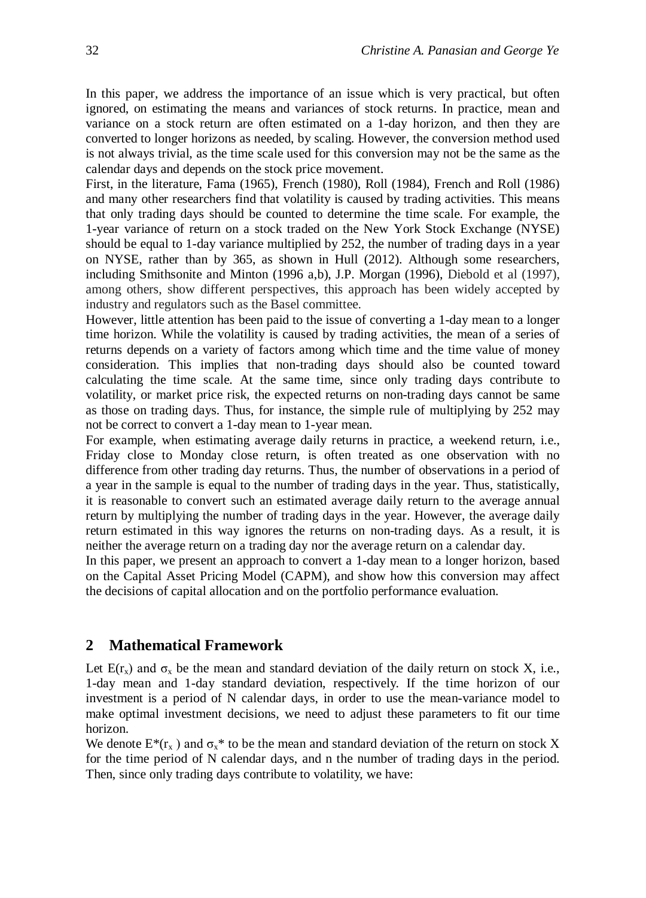In this paper, we address the importance of an issue which is very practical, but often ignored, on estimating the means and variances of stock returns. In practice, mean and variance on a stock return are often estimated on a 1-day horizon, and then they are converted to longer horizons as needed, by scaling. However, the conversion method used is not always trivial, as the time scale used for this conversion may not be the same as the calendar days and depends on the stock price movement.

First, in the literature, Fama (1965), French (1980), Roll (1984), French and Roll (1986) and many other researchers find that volatility is caused by trading activities. This means that only trading days should be counted to determine the time scale. For example, the 1-year variance of return on a stock traded on the New York Stock Exchange (NYSE) should be equal to 1-day variance multiplied by 252, the number of trading days in a year on NYSE, rather than by 365, as shown in Hull (2012). Although some researchers, including Smithsonite and Minton (1996 a,b), J.P. Morgan (1996), Diebold et al (1997), among others, show different perspectives, this approach has been widely accepted by industry and regulators such as the Basel committee.

However, little attention has been paid to the issue of converting a 1-day mean to a longer time horizon. While the volatility is caused by trading activities, the mean of a series of returns depends on a variety of factors among which time and the time value of money consideration. This implies that non-trading days should also be counted toward calculating the time scale. At the same time, since only trading days contribute to volatility, or market price risk, the expected returns on non-trading days cannot be same as those on trading days. Thus, for instance, the simple rule of multiplying by 252 may not be correct to convert a 1-day mean to 1-year mean.

For example, when estimating average daily returns in practice, a weekend return, i.e., Friday close to Monday close return, is often treated as one observation with no difference from other trading day returns. Thus, the number of observations in a period of a year in the sample is equal to the number of trading days in the year. Thus, statistically, it is reasonable to convert such an estimated average daily return to the average annual return by multiplying the number of trading days in the year. However, the average daily return estimated in this way ignores the returns on non-trading days. As a result, it is neither the average return on a trading day nor the average return on a calendar day.

In this paper, we present an approach to convert a 1-day mean to a longer horizon, based on the Capital Asset Pricing Model (CAPM), and show how this conversion may affect the decisions of capital allocation and on the portfolio performance evaluation.

## **2 Mathematical Framework**

Let  $E(r_x)$  and  $\sigma_x$  be the mean and standard deviation of the daily return on stock X, i.e., 1-day mean and 1-day standard deviation, respectively. If the time horizon of our investment is a period of N calendar days, in order to use the mean-variance model to make optimal investment decisions, we need to adjust these parameters to fit our time horizon.

We denote  $E^*(r_x)$  and  $\sigma_x^*$  to be the mean and standard deviation of the return on stock X for the time period of N calendar days, and n the number of trading days in the period. Then, since only trading days contribute to volatility, we have: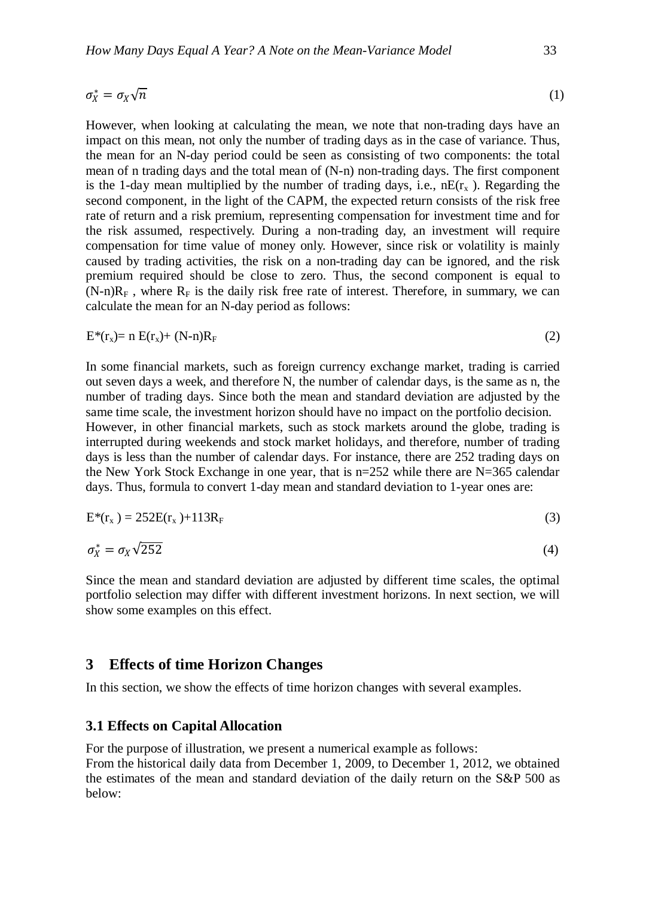$$
\sigma_X^* = \sigma_X \sqrt{n} \tag{1}
$$

However, when looking at calculating the mean, we note that non-trading days have an impact on this mean, not only the number of trading days as in the case of variance. Thus, the mean for an N-day period could be seen as consisting of two components: the total mean of n trading days and the total mean of (N-n) non-trading days. The first component is the 1-day mean multiplied by the number of trading days, i.e.,  $nE(r_x)$ . Regarding the second component, in the light of the CAPM, the expected return consists of the risk free rate of return and a risk premium, representing compensation for investment time and for the risk assumed, respectively. During a non-trading day, an investment will require compensation for time value of money only. However, since risk or volatility is mainly caused by trading activities, the risk on a non-trading day can be ignored, and the risk premium required should be close to zero. Thus, the second component is equal to  $(N-n)R_F$ , where  $R_F$  is the daily risk free rate of interest. Therefore, in summary, we can calculate the mean for an N-day period as follows:

$$
E^*(r_x) = n E(r_x) + (N-n)R_F
$$
\n
$$
(2)
$$

In some financial markets, such as foreign currency exchange market, trading is carried out seven days a week, and therefore N, the number of calendar days, is the same as n, the number of trading days. Since both the mean and standard deviation are adjusted by the same time scale, the investment horizon should have no impact on the portfolio decision. However, in other financial markets, such as stock markets around the globe, trading is interrupted during weekends and stock market holidays, and therefore, number of trading days is less than the number of calendar days. For instance, there are 252 trading days on the New York Stock Exchange in one year, that is  $n=252$  while there are N=365 calendar days. Thus, formula to convert 1-day mean and standard deviation to 1-year ones are:

$$
E^*(r_x) = 252E(r_x) + 113R_F
$$
\n
$$
(3)
$$

$$
\sigma_X^* = \sigma_X \sqrt{252} \tag{4}
$$

Since the mean and standard deviation are adjusted by different time scales, the optimal portfolio selection may differ with different investment horizons. In next section, we will show some examples on this effect.

#### **3 Effects of time Horizon Changes**

In this section, we show the effects of time horizon changes with several examples.

#### **3.1 Effects on Capital Allocation**

For the purpose of illustration, we present a numerical example as follows:

From the historical daily data from December 1, 2009, to December 1, 2012, we obtained the estimates of the mean and standard deviation of the daily return on the S&P 500 as below: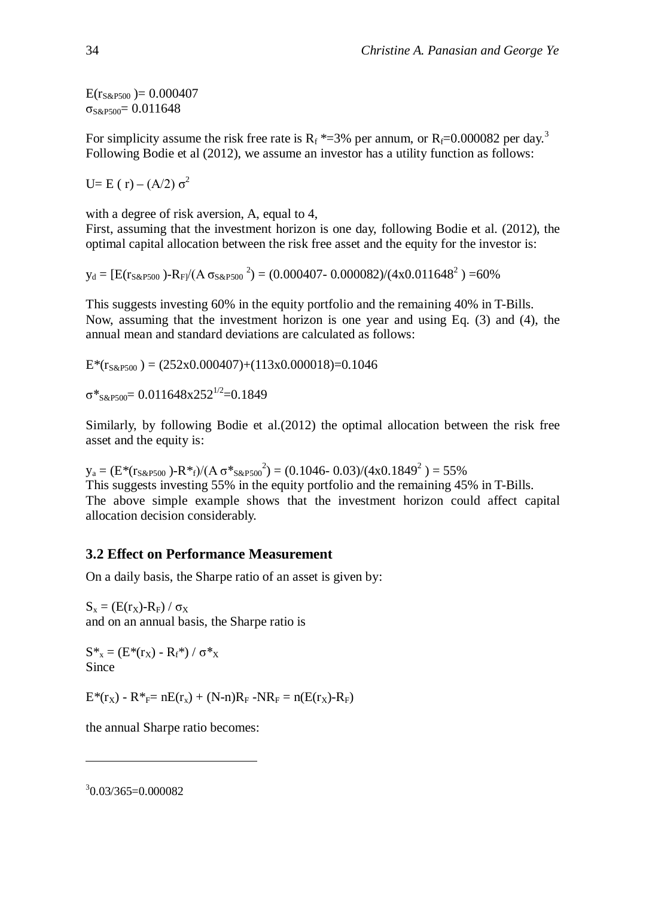$E(r_{S\&P500}) = 0.000407$  $\sigma$ <sub>S&P500</sub>= 0.011648

For simplicity assume the risk free rate is  $R_f$ \*=[3](#page-0-2)% per annum, or  $R_f$ =0.000082 per day.<sup>3</sup> Following Bodie et al (2012), we assume an investor has a utility function as follows:

U= E ( r) – (A/2) σ<sup>2</sup>

with a degree of risk aversion, A, equal to 4,

First, assuming that the investment horizon is one day, following Bodie et al. (2012), the optimal capital allocation between the risk free asset and the equity for the investor is:

 $y_d = [E(r_{S\&P500}) - R_F/(A \sigma_{S\&P500})^2] = (0.000407 - 0.000082)/(4x0.011648^2) = 60\%$ 

This suggests investing 60% in the equity portfolio and the remaining 40% in T-Bills. Now, assuming that the investment horizon is one year and using Eq. (3) and (4), the annual mean and standard deviations are calculated as follows:

 $E^*(r_{S\&P500}) = (252x0.000407)+(113x0.000018)=0.1046$ 

 $σ*_{S&PS00}=0.011648x252^{1/2}=0.1849$ 

Similarly, by following Bodie et al.(2012) the optimal allocation between the risk free asset and the equity is:

 $y_a = (E^*(r_{S\&P500}) - R^*_{f})/(A\sigma^*_{S\&P500}^2) = (0.1046 - 0.03)/(4x0.1849^2) = 55\%$ This suggests investing 55% in the equity portfolio and the remaining 45% in T-Bills. The above simple example shows that the investment horizon could affect capital allocation decision considerably.

# **3.2 Effect on Performance Measurement**

On a daily basis, the Sharpe ratio of an asset is given by:

 $S_x = (E(r_x)-R_F)/\sigma_x$ and on an annual basis, the Sharpe ratio is

 $S^*_{x} = (E^*(r_X) - R_f^*) / \sigma^*_{x}$ Since

 $E^*(r_X)$  -  $R^*_{F}$  =  $nE(r_X)$  +  $(N-n)R_F$  -N $R_F$  =  $n(E(r_X)$ - $R_F)$ 

the annual Sharpe ratio becomes:

3 0.03/365=0.000082

 $\overline{a}$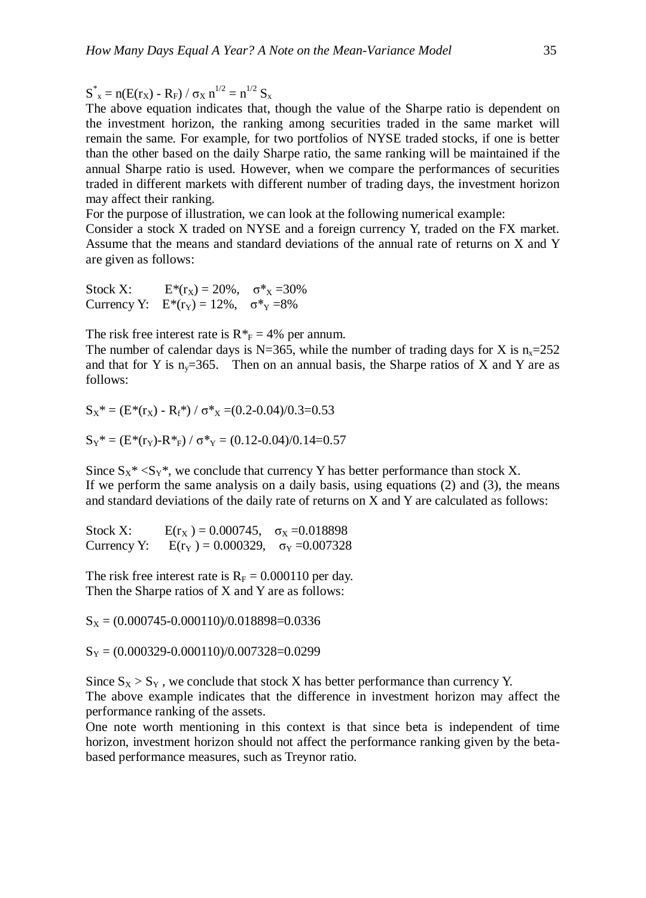$S^*_{x} = n(E(r_X) - R_F) / \sigma_X n^{1/2} = n^{1/2} S_x$ 

The above equation indicates that, though the value of the Sharpe ratio is dependent on the investment horizon, the ranking among securities traded in the same market will remain the same. For example, for two portfolios of NYSE traded stocks, if one is better than the other based on the daily Sharpe ratio, the same ranking will be maintained if the annual Sharpe ratio is used. However, when we compare the performances of securities traded in different markets with different number of trading days, the investment horizon may affect their ranking.

For the purpose of illustration, we can look at the following numerical example:

Consider a stock X traded on NYSE and a foreign currency Y, traded on the FX market. Assume that the means and standard deviations of the annual rate of returns on X and Y are given as follows:

Stock X:  $E^*(r_x) = 20\%$ ,  $\sigma^* = 30\%$ Currency Y:  $E^*(r_Y) = 12\%$ ,  $\sigma^*Y = 8\%$ 

The risk free interest rate is  $R^* = 4\%$  per annum.

The number of calendar days is N=365, while the number of trading days for X is  $n_x=252$ and that for Y is  $n_v=365$ . Then on an annual basis, the Sharpe ratios of X and Y are as follows:

 $S_X^* = (E^*(r_X) - R_f^*) / \sigma^* = (0.2-0.04)/0.3=0.53$ 

 $S_Y^* = (E^*(r_Y)-R^*F) / \sigma^* = (0.12-0.04)/0.14=0.57$ 

Since  $S_X^* < S_Y^*$ , we conclude that currency Y has better performance than stock X. If we perform the same analysis on a daily basis, using equations (2) and (3), the means and standard deviations of the daily rate of returns on X and Y are calculated as follows:

Stock X:  $E(r_X) = 0.000745$ ,  $\sigma_X = 0.018898$ Currency Y:  $E(r_Y) = 0.000329$ ,  $\sigma_Y = 0.007328$ 

The risk free interest rate is  $R_F = 0.000110$  per day. Then the Sharpe ratios of X and Y are as follows:

 $S_X = (0.000745 - 0.000110)/0.018898 = 0.0336$ 

 $S_Y = (0.000329 - 0.000110)/0.007328 = 0.0299$ 

Since  $S_X > S_Y$ , we conclude that stock X has better performance than currency Y.

The above example indicates that the difference in investment horizon may affect the performance ranking of the assets.

One note worth mentioning in this context is that since beta is independent of time horizon, investment horizon should not affect the performance ranking given by the betabased performance measures, such as Treynor ratio.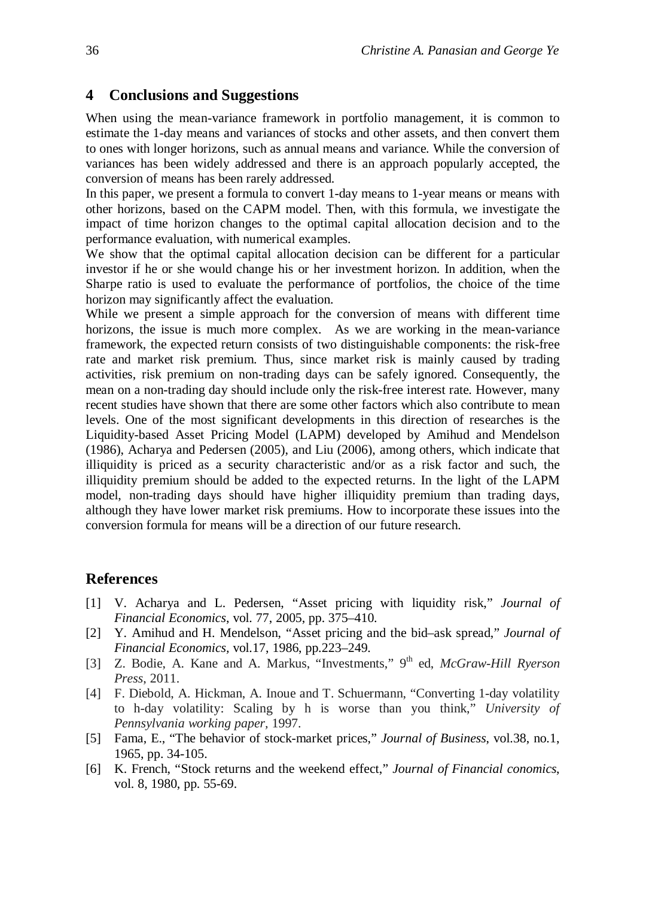## **4 Conclusions and Suggestions**

When using the mean-variance framework in portfolio management, it is common to estimate the 1-day means and variances of stocks and other assets, and then convert them to ones with longer horizons, such as annual means and variance. While the conversion of variances has been widely addressed and there is an approach popularly accepted, the conversion of means has been rarely addressed.

In this paper, we present a formula to convert 1-day means to 1-year means or means with other horizons, based on the CAPM model. Then, with this formula, we investigate the impact of time horizon changes to the optimal capital allocation decision and to the performance evaluation, with numerical examples.

We show that the optimal capital allocation decision can be different for a particular investor if he or she would change his or her investment horizon. In addition, when the Sharpe ratio is used to evaluate the performance of portfolios, the choice of the time horizon may significantly affect the evaluation.

While we present a simple approach for the conversion of means with different time horizons, the issue is much more complex. As we are working in the mean-variance framework, the expected return consists of two distinguishable components: the risk-free rate and market risk premium. Thus, since market risk is mainly caused by trading activities, risk premium on non-trading days can be safely ignored. Consequently, the mean on a non-trading day should include only the risk-free interest rate. However, many recent studies have shown that there are some other factors which also contribute to mean levels. One of the most significant developments in this direction of researches is the Liquidity-based Asset Pricing Model (LAPM) developed by Amihud and Mendelson (1986), Acharya and Pedersen (2005), and Liu (2006), among others, which indicate that illiquidity is priced as a security characteristic and/or as a risk factor and such, the illiquidity premium should be added to the expected returns. In the light of the LAPM model, non-trading days should have higher illiquidity premium than trading days, although they have lower market risk premiums. How to incorporate these issues into the conversion formula for means will be a direction of our future research.

## **References**

- [1] V. Acharya and L. Pedersen, "Asset pricing with liquidity risk," *Journal of Financial Economics*, vol. 77, 2005, pp. 375–410.
- [2] Y. Amihud and H. Mendelson, "Asset pricing and the bid–ask spread," *Journal of Financial Economics,* vol.17, 1986, pp.223–249.
- [3] Z. Bodie, A. Kane and A. Markus, "Investments," 9<sup>th</sup> ed, *McGraw-Hill Ryerson Press*, 2011.
- [4] F. Diebold, A. Hickman, A. Inoue and T. Schuermann, "Converting 1-day volatility to h-day volatility: Scaling by h is worse than you think," *University of Pennsylvania working paper,* 1997.
- [5] Fama, E., "The behavior of stock-market prices," *Journal of Business*, vol.38, no.1, 1965, pp. 34-105.
- [6] K. French, "Stock returns and the weekend effect," *Journal of Financial conomics*, vol. 8, 1980, pp. 55-69.